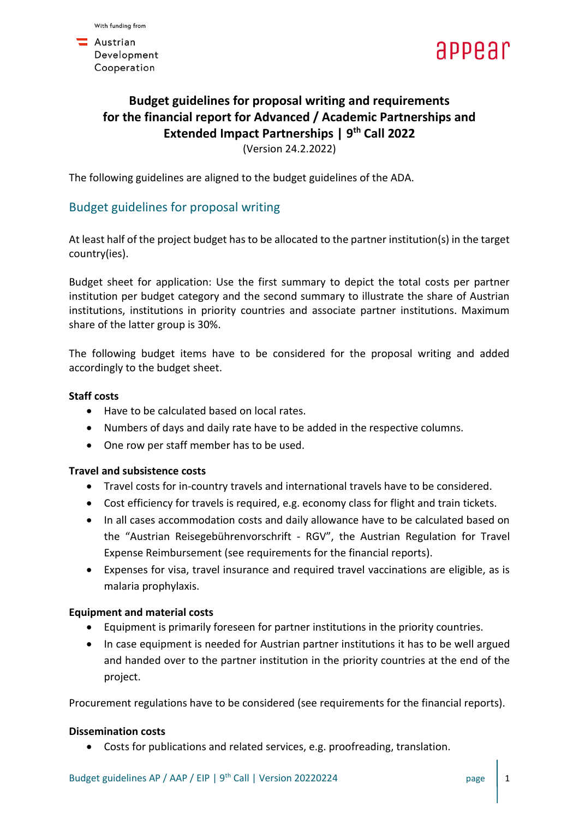**A**ustrian Development Cooperation



# **Budget guidelines for proposal writing and requirements for the financial report for Advanced / Academic Partnerships and Extended Impact Partnerships | 9 th Call 2022** (Version 24.2.2022)

The following guidelines are aligned to the budget guidelines of the ADA.

# Budget guidelines for proposal writing

At least half of the project budget has to be allocated to the partner institution(s) in the target country(ies).

Budget sheet for application: Use the first summary to depict the total costs per partner institution per budget category and the second summary to illustrate the share of Austrian institutions, institutions in priority countries and associate partner institutions. Maximum share of the latter group is 30%.

The following budget items have to be considered for the proposal writing and added accordingly to the budget sheet.

#### **Staff costs**

- Have to be calculated based on local rates.
- Numbers of days and daily rate have to be added in the respective columns.
- One row per staff member has to be used.

#### **Travel and subsistence costs**

- Travel costs for in-country travels and international travels have to be considered.
- Cost efficiency for travels is required, e.g. economy class for flight and train tickets.
- In all cases accommodation costs and daily allowance have to be calculated based on the "Austrian Reisegebührenvorschrift - RGV", the Austrian Regulation for Travel Expense Reimbursement (see requirements for the financial reports).
- Expenses for visa, travel insurance and required travel vaccinations are eligible, as is malaria prophylaxis.

## **Equipment and material costs**

- Equipment is primarily foreseen for partner institutions in the priority countries.
- In case equipment is needed for Austrian partner institutions it has to be well argued and handed over to the partner institution in the priority countries at the end of the project.

Procurement regulations have to be considered (see requirements for the financial reports).

#### **Dissemination costs**

• Costs for publications and related services, e.g. proofreading, translation.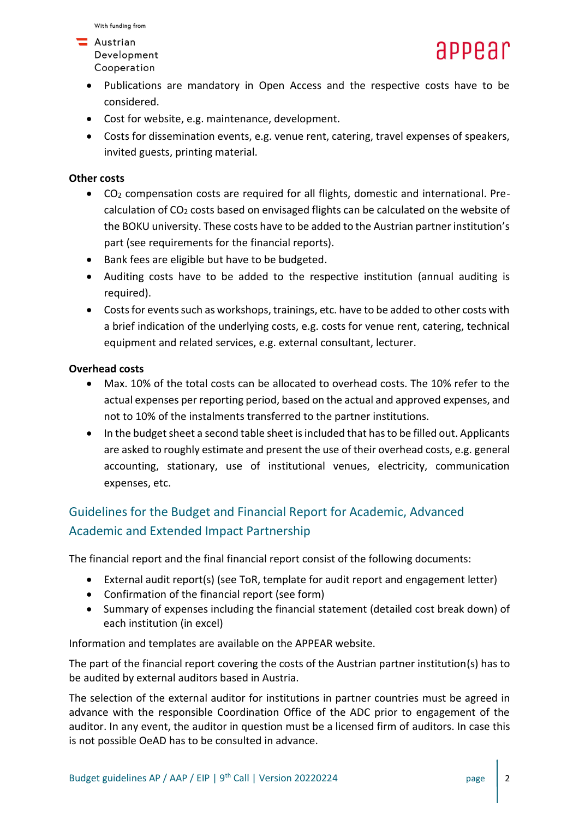#### $\blacksquare$  Austrian Development Cooperation

- Publications are mandatory in Open Access and the respective costs have to be considered.
- Cost for website, e.g. maintenance, development.
- Costs for dissemination events, e.g. venue rent, catering, travel expenses of speakers, invited guests, printing material.

## **Other costs**

- CO<sup>2</sup> compensation costs are required for all flights, domestic and international. Precalculation of  $CO<sub>2</sub>$  costs based on envisaged flights can be calculated on the website of the BOKU university. These costs have to be added to the Austrian partner institution's part (see requirements for the financial reports).
- Bank fees are eligible but have to be budgeted.
- Auditing costs have to be added to the respective institution (annual auditing is required).
- Costs for events such as workshops, trainings, etc. have to be added to other costs with a brief indication of the underlying costs, e.g. costs for venue rent, catering, technical equipment and related services, e.g. external consultant, lecturer.

# **Overhead costs**

- Max. 10% of the total costs can be allocated to overhead costs. The 10% refer to the actual expenses per reporting period, based on the actual and approved expenses, and not to 10% of the instalments transferred to the partner institutions.
- In the budget sheet a second table sheet is included that has to be filled out. Applicants are asked to roughly estimate and present the use of their overhead costs, e.g. general accounting, stationary, use of institutional venues, electricity, communication expenses, etc.

# Guidelines for the Budget and Financial Report for Academic, Advanced Academic and Extended Impact Partnership

The financial report and the final financial report consist of the following documents:

- External audit report(s) (see ToR, template for audit report and engagement letter)
- Confirmation of the financial report (see form)
- Summary of expenses including the financial statement (detailed cost break down) of each institution (in excel)

Information and templates are available on the APPEAR website.

The part of the financial report covering the costs of the Austrian partner institution(s) has to be audited by external auditors based in Austria.

The selection of the external auditor for institutions in partner countries must be agreed in advance with the responsible Coordination Office of the ADC prior to engagement of the auditor. In any event, the auditor in question must be a licensed firm of auditors. In case this is not possible OeAD has to be consulted in advance.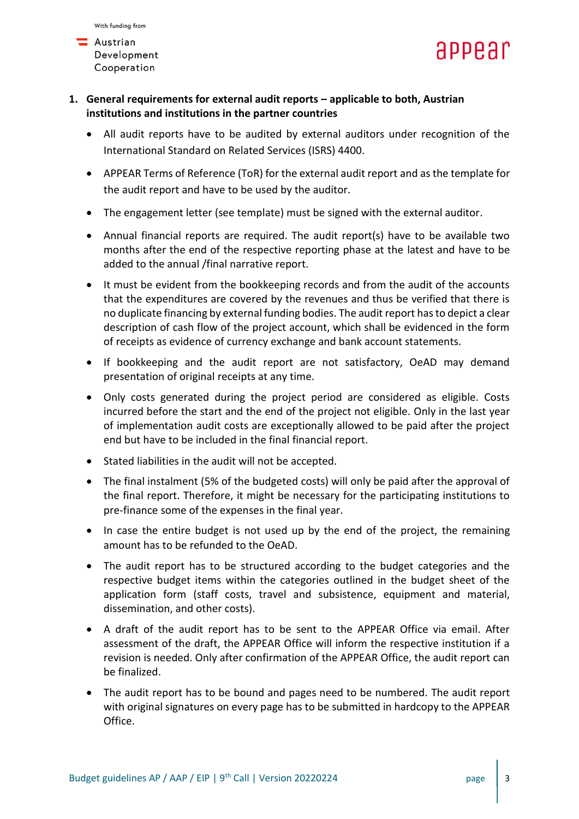



- **1. General requirements for external audit reports – applicable to both, Austrian institutions and institutions in the partner countries**
	- All audit reports have to be audited by external auditors under recognition of the International Standard on Related Services (ISRS) 4400.
	- APPEAR Terms of Reference (ToR) for the external audit report and as the template for the audit report and have to be used by the auditor.
	- The engagement letter (see template) must be signed with the external auditor.
	- Annual financial reports are required. The audit report(s) have to be available two months after the end of the respective reporting phase at the latest and have to be added to the annual /final narrative report.
	- It must be evident from the bookkeeping records and from the audit of the accounts that the expenditures are covered by the revenues and thus be verified that there is no duplicate financing by external funding bodies. The audit report has to depict a clear description of cash flow of the project account, which shall be evidenced in the form of receipts as evidence of currency exchange and bank account statements.
	- If bookkeeping and the audit report are not satisfactory, OeAD may demand presentation of original receipts at any time.
	- Only costs generated during the project period are considered as eligible. Costs incurred before the start and the end of the project not eligible. Only in the last year of implementation audit costs are exceptionally allowed to be paid after the project end but have to be included in the final financial report.
	- Stated liabilities in the audit will not be accepted.
	- The final instalment (5% of the budgeted costs) will only be paid after the approval of the final report. Therefore, it might be necessary for the participating institutions to pre-finance some of the expenses in the final year.
	- In case the entire budget is not used up by the end of the project, the remaining amount has to be refunded to the OeAD.
	- The audit report has to be structured according to the budget categories and the respective budget items within the categories outlined in the budget sheet of the application form (staff costs, travel and subsistence, equipment and material, dissemination, and other costs).
	- A draft of the audit report has to be sent to the APPEAR Office via email. After assessment of the draft, the APPEAR Office will inform the respective institution if a revision is needed. Only after confirmation of the APPEAR Office, the audit report can be finalized.
	- The audit report has to be bound and pages need to be numbered. The audit report with original signatures on every page has to be submitted in hardcopy to the APPEAR Office.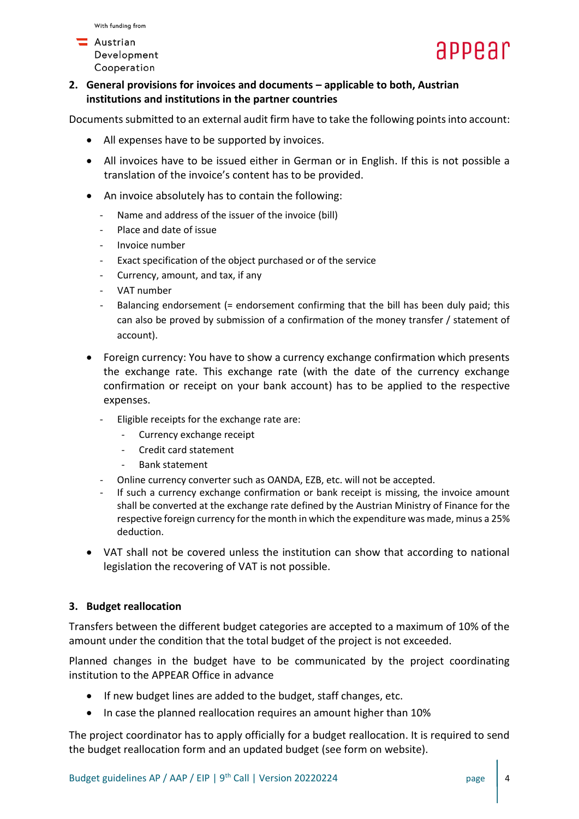**A**ustrian Development Cooperation



**2. General provisions for invoices and documents – applicable to both, Austrian institutions and institutions in the partner countries**

Documents submitted to an external audit firm have to take the following points into account:

- All expenses have to be supported by invoices.
- All invoices have to be issued either in German or in English. If this is not possible a translation of the invoice's content has to be provided.
- An invoice absolutely has to contain the following:
	- Name and address of the issuer of the invoice (bill)
	- Place and date of issue
	- Invoice number
	- Exact specification of the object purchased or of the service
	- Currency, amount, and tax, if any
	- VAT number
	- Balancing endorsement (= endorsement confirming that the bill has been duly paid; this can also be proved by submission of a confirmation of the money transfer / statement of account).
- Foreign currency: You have to show a currency exchange confirmation which presents the exchange rate. This exchange rate (with the date of the currency exchange confirmation or receipt on your bank account) has to be applied to the respective expenses.
	- Eligible receipts for the exchange rate are:
		- Currency exchange receipt
		- Credit card statement
		- Bank statement
	- Online currency converter such as OANDA, EZB, etc. will not be accepted.
	- If such a currency exchange confirmation or bank receipt is missing, the invoice amount shall be converted at the exchange rate defined by the Austrian Ministry of Finance for the respective foreign currency for the month in which the expenditure was made, minus a 25% deduction.
- VAT shall not be covered unless the institution can show that according to national legislation the recovering of VAT is not possible.

## **3. Budget reallocation**

Transfers between the different budget categories are accepted to a maximum of 10% of the amount under the condition that the total budget of the project is not exceeded.

Planned changes in the budget have to be communicated by the project coordinating institution to the APPEAR Office in advance

- If new budget lines are added to the budget, staff changes, etc.
- In case the planned reallocation requires an amount higher than 10%

The project coordinator has to apply officially for a budget reallocation. It is required to send the budget reallocation form and an updated budget (see form on website).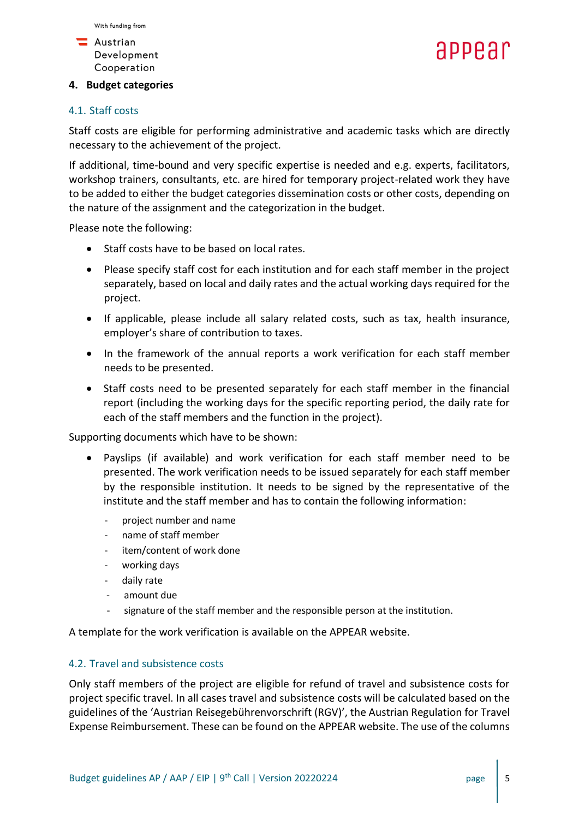



#### **4. Budget categories**

#### 4.1. Staff costs

Staff costs are eligible for performing administrative and academic tasks which are directly necessary to the achievement of the project.

If additional, time-bound and very specific expertise is needed and e.g. experts, facilitators, workshop trainers, consultants, etc. are hired for temporary project-related work they have to be added to either the budget categories dissemination costs or other costs, depending on the nature of the assignment and the categorization in the budget.

Please note the following:

- Staff costs have to be based on local rates.
- Please specify staff cost for each institution and for each staff member in the project separately, based on local and daily rates and the actual working days required for the project.
- If applicable, please include all salary related costs, such as tax, health insurance, employer's share of contribution to taxes.
- In the framework of the annual reports a work verification for each staff member needs to be presented.
- Staff costs need to be presented separately for each staff member in the financial report (including the working days for the specific reporting period, the daily rate for each of the staff members and the function in the project).

Supporting documents which have to be shown:

- Payslips (if available) and work verification for each staff member need to be presented. The work verification needs to be issued separately for each staff member by the responsible institution. It needs to be signed by the representative of the institute and the staff member and has to contain the following information:
	- project number and name
	- name of staff member
	- item/content of work done
	- working days
	- daily rate
	- amount due
	- signature of the staff member and the responsible person at the institution.

A template for the work verification is available on the APPEAR website.

#### 4.2. Travel and subsistence costs

Only staff members of the project are eligible for refund of travel and subsistence costs for project specific travel. In all cases travel and subsistence costs will be calculated based on the guidelines of the 'Austrian Reisegebührenvorschrift (RGV)', the Austrian Regulation for Travel Expense Reimbursement. These can be found on the APPEAR website. The use of the columns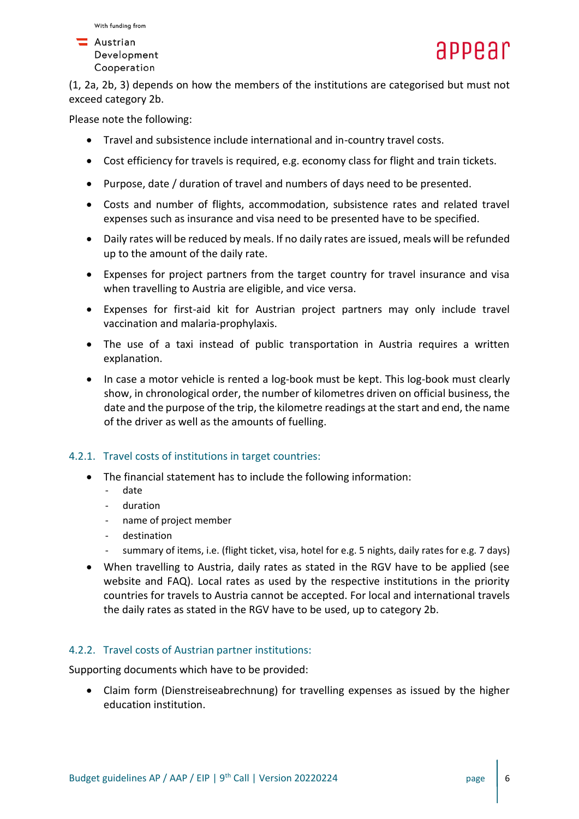

**A**ustrian Development Cooperation

(1, 2a, 2b, 3) depends on how the members of the institutions are categorised but must not exceed category 2b.

Please note the following:

- Travel and subsistence include international and in-country travel costs.
- Cost efficiency for travels is required, e.g. economy class for flight and train tickets.
- Purpose, date / duration of travel and numbers of days need to be presented.
- Costs and number of flights, accommodation, subsistence rates and related travel expenses such as insurance and visa need to be presented have to be specified.
- Daily rates will be reduced by meals. If no daily rates are issued, meals will be refunded up to the amount of the daily rate.
- Expenses for project partners from the target country for travel insurance and visa when travelling to Austria are eligible, and vice versa.
- Expenses for first-aid kit for Austrian project partners may only include travel vaccination and malaria-prophylaxis.
- The use of a taxi instead of public transportation in Austria requires a written explanation.
- In case a motor vehicle is rented a log-book must be kept. This log-book must clearly show, in chronological order, the number of kilometres driven on official business, the date and the purpose of the trip, the kilometre readings at the start and end, the name of the driver as well as the amounts of fuelling.

## 4.2.1. Travel costs of institutions in target countries:

- The financial statement has to include the following information:
	- date
	- duration
	- name of project member
	- destination
	- summary of items, i.e. (flight ticket, visa, hotel for e.g. 5 nights, daily rates for e.g. 7 days)
- When travelling to Austria, daily rates as stated in the RGV have to be applied (see website and FAQ). Local rates as used by the respective institutions in the priority countries for travels to Austria cannot be accepted. For local and international travels the daily rates as stated in the RGV have to be used, up to category 2b.

## 4.2.2. Travel costs of Austrian partner institutions:

Supporting documents which have to be provided:

• Claim form (Dienstreiseabrechnung) for travelling expenses as issued by the higher education institution.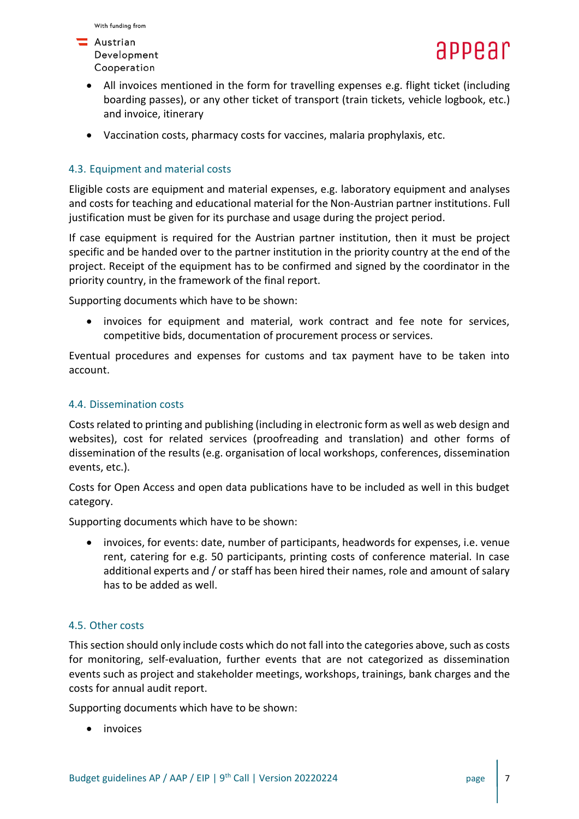

- Austrian Development Cooperation
	- All invoices mentioned in the form for travelling expenses e.g. flight ticket (including boarding passes), or any other ticket of transport (train tickets, vehicle logbook, etc.) and invoice, itinerary
	- Vaccination costs, pharmacy costs for vaccines, malaria prophylaxis, etc.

#### 4.3. Equipment and material costs

Eligible costs are equipment and material expenses, e.g. laboratory equipment and analyses and costs for teaching and educational material for the Non-Austrian partner institutions. Full justification must be given for its purchase and usage during the project period.

If case equipment is required for the Austrian partner institution, then it must be project specific and be handed over to the partner institution in the priority country at the end of the project. Receipt of the equipment has to be confirmed and signed by the coordinator in the priority country, in the framework of the final report.

Supporting documents which have to be shown:

invoices for equipment and material, work contract and fee note for services, competitive bids, documentation of procurement process or services.

Eventual procedures and expenses for customs and tax payment have to be taken into account.

#### 4.4. Dissemination costs

Costs related to printing and publishing (including in electronic form as well as web design and websites), cost for related services (proofreading and translation) and other forms of dissemination of the results (e.g. organisation of local workshops, conferences, dissemination events, etc.).

Costs for Open Access and open data publications have to be included as well in this budget category.

Supporting documents which have to be shown:

• invoices, for events: date, number of participants, headwords for expenses, i.e. venue rent, catering for e.g. 50 participants, printing costs of conference material. In case additional experts and / or staff has been hired their names, role and amount of salary has to be added as well.

#### 4.5. Other costs

This section should only include costs which do not fall into the categories above, such as costs for monitoring, self-evaluation, further events that are not categorized as dissemination events such as project and stakeholder meetings, workshops, trainings, bank charges and the costs for annual audit report.

Supporting documents which have to be shown:

• invoices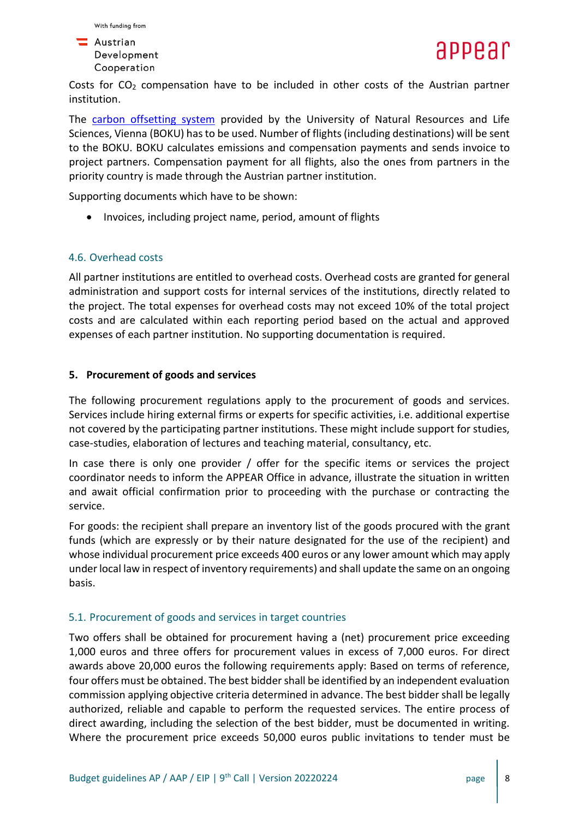



Costs for  $CO<sub>2</sub>$  compensation have to be included in other costs of the Austrian partner institution.

The [carbon offsetting system](https://klimaneutralität.boku.ac.at/en/co2-kompensation/) provided by the University of Natural Resources and Life Sciences, Vienna (BOKU) has to be used. Number of flights (including destinations) will be sent to the BOKU. BOKU calculates emissions and compensation payments and sends invoice to project partners. Compensation payment for all flights, also the ones from partners in the priority country is made through the Austrian partner institution.

Supporting documents which have to be shown:

• Invoices, including project name, period, amount of flights

#### 4.6. Overhead costs

All partner institutions are entitled to overhead costs. Overhead costs are granted for general administration and support costs for internal services of the institutions, directly related to the project. The total expenses for overhead costs may not exceed 10% of the total project costs and are calculated within each reporting period based on the actual and approved expenses of each partner institution. No supporting documentation is required.

#### **5. Procurement of goods and services**

The following procurement regulations apply to the procurement of goods and services. Services include hiring external firms or experts for specific activities, i.e. additional expertise not covered by the participating partner institutions. These might include support for studies, case-studies, elaboration of lectures and teaching material, consultancy, etc.

In case there is only one provider / offer for the specific items or services the project coordinator needs to inform the APPEAR Office in advance, illustrate the situation in written and await official confirmation prior to proceeding with the purchase or contracting the service.

For goods: the recipient shall prepare an inventory list of the goods procured with the grant funds (which are expressly or by their nature designated for the use of the recipient) and whose individual procurement price exceeds 400 euros or any lower amount which may apply under local law in respect of inventory requirements) and shall update the same on an ongoing basis.

#### 5.1. Procurement of goods and services in target countries

Two offers shall be obtained for procurement having a (net) procurement price exceeding 1,000 euros and three offers for procurement values in excess of 7,000 euros. For direct awards above 20,000 euros the following requirements apply: Based on terms of reference, four offers must be obtained. The best bidder shall be identified by an independent evaluation commission applying objective criteria determined in advance. The best bidder shall be legally authorized, reliable and capable to perform the requested services. The entire process of direct awarding, including the selection of the best bidder, must be documented in writing. Where the procurement price exceeds 50,000 euros public invitations to tender must be